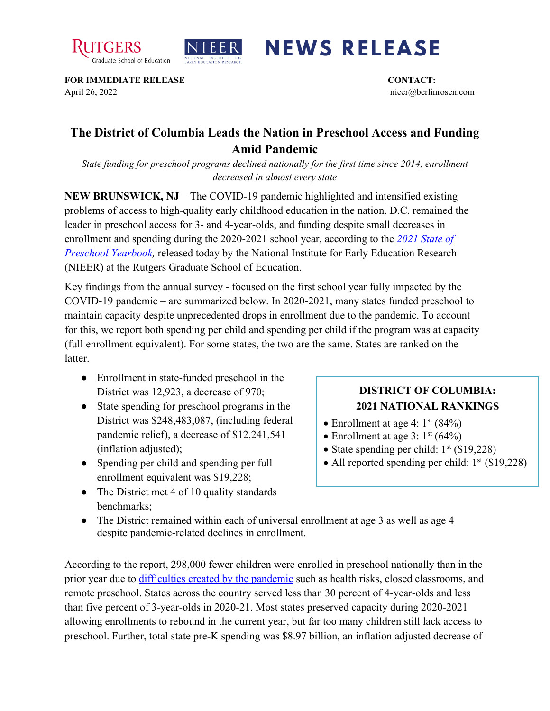



## **NEWS RELEASE**

**FOR IMMEDIATE RELEASE CONTACT:**  April 26, 2022 nieer@berlinrosen.com

## **The District of Columbia Leads the Nation in Preschool Access and Funding Amid Pandemic**

*State funding for preschool programs declined nationally for the first time since 2014, enrollment decreased in almost every state*

**NEW BRUNSWICK, NJ** – The COVID-19 pandemic highlighted and intensified existing problems of access to high-quality early childhood education in the nation. D.C. remained the leader in preschool access for 3- and 4-year-olds, and funding despite small decreases in enrollment and spending during the 2020-2021 school year, according to the *[2021 State of](https://nieer.org/state-preschool-yearbooks-yearbook2021)  [Preschool Yearbook,](https://nieer.org/state-preschool-yearbooks-yearbook2021)* released today by the National Institute for Early Education Research (NIEER) at the Rutgers Graduate School of Education.

Key findings from the annual survey - focused on the first school year fully impacted by the COVID-19 pandemic – are summarized below. In 2020-2021, many states funded preschool to maintain capacity despite unprecedented drops in enrollment due to the pandemic. To account for this, we report both spending per child and spending per child if the program was at capacity (full enrollment equivalent). For some states, the two are the same. States are ranked on the latter.

- Enrollment in state-funded preschool in the District was 12,923, a decrease of 970;
- State spending for preschool programs in the District was \$248,483,087, (including federal pandemic relief), a decrease of \$12,241,541 (inflation adjusted);
- Spending per child and spending per full enrollment equivalent was \$19,228;
- The District met 4 of 10 quality standards benchmarks;

## **DISTRICT OF COLUMBIA: 2021 NATIONAL RANKINGS**

- Enrollment at age 4:  $1<sup>st</sup>$  (84%)
- Enrollment at age 3:  $1<sup>st</sup>$  (64%)
- State spending per child:  $1<sup>st</sup>$  (\$19,228)
- All reported spending per child:  $1<sup>st</sup>$  (\$19,228)
- The District remained within each of universal enrollment at age 3 as well as age 4 despite pandemic-related declines in enrollment.

According to the report, 298,000 fewer children were enrolled in preschool nationally than in the prior year due to [difficulties created by the pandemic](https://nieer.org/wp-content/uploads/2021/02/NIEER_Seven_Impacts_of_the_Pandemic_on_Young_Children_and_their_Parents.pdf) such as health risks, closed classrooms, and remote preschool. States across the country served less than 30 percent of 4-year-olds and less than five percent of 3-year-olds in 2020-21. Most states preserved capacity during 2020-2021 allowing enrollments to rebound in the current year, but far too many children still lack access to preschool. Further, total state pre-K spending was \$8.97 billion, an inflation adjusted decrease of